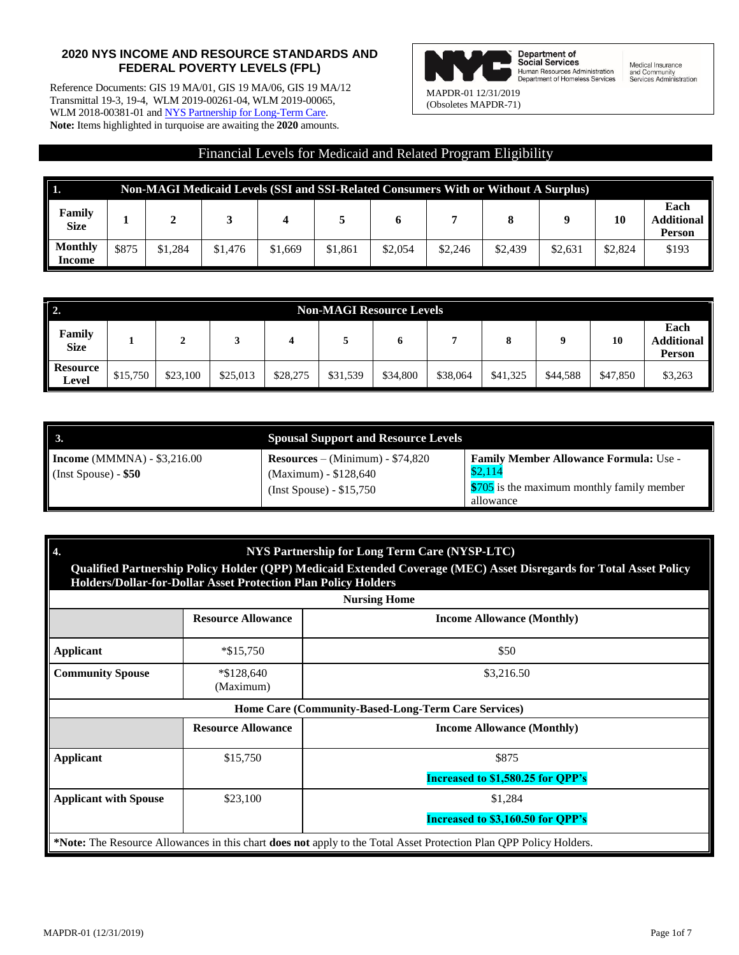## **2020 NYS INCOME AND RESOURCE STANDARDS AND FEDERAL POVERTY LEVELS (FPL)**

Reference Documents: GIS 19 MA/01, GIS 19 MA/06, GIS 19 MA/12 Transmittal 19-3, 19-4, WLM 2019-00261-04, WLM 2019-00065, WLM 2018-00381-01 an[d NYS Partnership for Long-Term Care.](https://nyspltc.health.ny.gov/medicaid/index.htm) **Note:** Items highlighted in turquoise are awaiting the **2020** amounts.



**Department of<br>Social Services**<br>Human Resources Administration<br>Department of Homeless Services

Medical Insurance and Community<br>Services Administration

## Financial Levels for Medicaid and Related Program Eligibility

| In.<br><b>Non-MAGI Medicaid Levels (SSI and SSI-Related Consumers With or Without A Surplus)</b> |       |         |         |         |         |         |         |         |         |         |                                            |
|--------------------------------------------------------------------------------------------------|-------|---------|---------|---------|---------|---------|---------|---------|---------|---------|--------------------------------------------|
| Family<br><b>Size</b>                                                                            |       | ◢       |         |         |         |         |         | 8       |         | 10      | Each<br><b>Additional</b><br><b>Person</b> |
| <b>Monthly</b><br>Income                                                                         | \$875 | \$1.284 | \$1,476 | \$1,669 | \$1,861 | \$2,054 | \$2,246 | \$2,439 | \$2.631 | \$2,824 | \$193                                      |

| $\vert$ 2.<br><b>Non-MAGI Resource Levels</b> |                    |          |          |          |          |          |          |          |                                     |          |         |
|-----------------------------------------------|--------------------|----------|----------|----------|----------|----------|----------|----------|-------------------------------------|----------|---------|
| Family<br><b>Size</b>                         | 10<br>$\mathbf{o}$ |          |          |          |          |          |          |          | Each<br><b>Additional</b><br>Person |          |         |
| <b>Resource</b><br>Level                      | \$15,750           | \$23,100 | \$25,013 | \$28,275 | \$31,539 | \$34,800 | \$38,064 | \$41,325 | \$44,588                            | \$47,850 | \$3,263 |

|                                                              | <b>Spousal Support and Resource Levels</b>                                              |                                                                                                                     |
|--------------------------------------------------------------|-----------------------------------------------------------------------------------------|---------------------------------------------------------------------------------------------------------------------|
| <b>Income</b> (MMMNA) - $$3,216.00$<br>(Inst Spouse) - $$50$ | $Resources - (Minimum) - $74,820$<br>(Maximum) - \$128,640<br>$(Inst Spouse) - $15,750$ | <b>Family Member Allowance Formula: Use -</b><br>\$2,114<br>\$705 is the maximum monthly family member<br>allowance |

| 4.<br>NYS Partnership for Long Term Care (NYSP-LTC)<br>Qualified Partnership Policy Holder (QPP) Medicaid Extended Coverage (MEC) Asset Disregards for Total Asset Policy<br>Holders/Dollar-for-Dollar Asset Protection Plan Policy Holders<br><b>Nursing Home</b> |                           |                                                                                                                    |  |  |  |  |  |  |  |
|--------------------------------------------------------------------------------------------------------------------------------------------------------------------------------------------------------------------------------------------------------------------|---------------------------|--------------------------------------------------------------------------------------------------------------------|--|--|--|--|--|--|--|
|                                                                                                                                                                                                                                                                    | <b>Resource Allowance</b> | <b>Income Allowance (Monthly)</b>                                                                                  |  |  |  |  |  |  |  |
| Applicant                                                                                                                                                                                                                                                          | $*\$15,750$               | \$50                                                                                                               |  |  |  |  |  |  |  |
| <b>Community Spouse</b>                                                                                                                                                                                                                                            | $*\$128,640$<br>(Maximum) | \$3,216.50                                                                                                         |  |  |  |  |  |  |  |
|                                                                                                                                                                                                                                                                    |                           | Home Care (Community-Based-Long-Term Care Services)                                                                |  |  |  |  |  |  |  |
|                                                                                                                                                                                                                                                                    | <b>Resource Allowance</b> | <b>Income Allowance (Monthly)</b>                                                                                  |  |  |  |  |  |  |  |
| <b>Applicant</b>                                                                                                                                                                                                                                                   | \$15,750                  | \$875                                                                                                              |  |  |  |  |  |  |  |
|                                                                                                                                                                                                                                                                    |                           | Increased to \$1,580.25 for OPP's                                                                                  |  |  |  |  |  |  |  |
| <b>Applicant with Spouse</b>                                                                                                                                                                                                                                       | \$23,100                  | \$1,284                                                                                                            |  |  |  |  |  |  |  |
|                                                                                                                                                                                                                                                                    |                           | Increased to \$3,160.50 for QPP's                                                                                  |  |  |  |  |  |  |  |
|                                                                                                                                                                                                                                                                    |                           | *Note: The Resource Allowances in this chart does not apply to the Total Asset Protection Plan QPP Policy Holders. |  |  |  |  |  |  |  |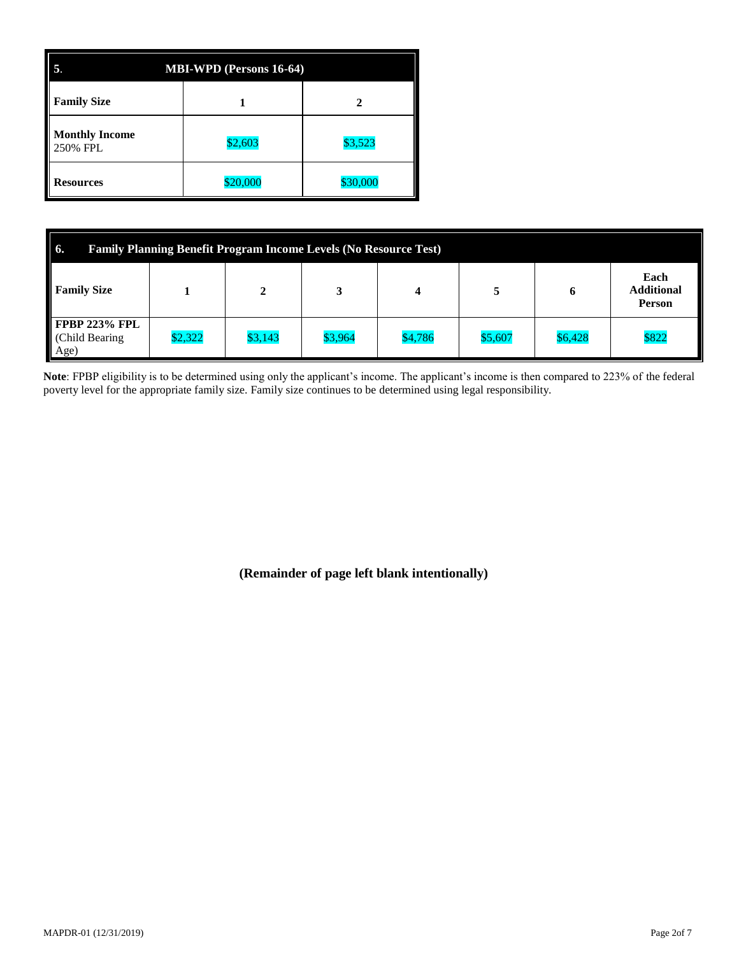| 5.<br><b>MBI-WPD</b> (Persons 16-64) |          |          |  |  |  |  |  |  |  |  |
|--------------------------------------|----------|----------|--|--|--|--|--|--|--|--|
| <b>Family Size</b>                   |          |          |  |  |  |  |  |  |  |  |
| <b>Monthly Income</b><br>250% FPL    | \$2,603  | \$3,523  |  |  |  |  |  |  |  |  |
| <b>Resources</b>                     | \$20,000 | \$30,000 |  |  |  |  |  |  |  |  |

| <b>6.</b><br><b>Family Planning Benefit Program Income Levels (No Resource Test)</b> |         |         |         |         |         |         |       |  |  |  |  |
|--------------------------------------------------------------------------------------|---------|---------|---------|---------|---------|---------|-------|--|--|--|--|
| Each<br><b>Additional</b><br><b>Family Size</b><br>h<br><b>Person</b>                |         |         |         |         |         |         |       |  |  |  |  |
| FPBP 223% FPL<br>(Child Bearing)<br>Age)                                             | \$2,322 | \$3,143 | \$3,964 | \$4,786 | \$5,607 | \$6,428 | \$822 |  |  |  |  |

**Note**: FPBP eligibility is to be determined using only the applicant's income. The applicant's income is then compared to 223% of the federal poverty level for the appropriate family size. Family size continues to be determined using legal responsibility.

**(Remainder of page left blank intentionally)**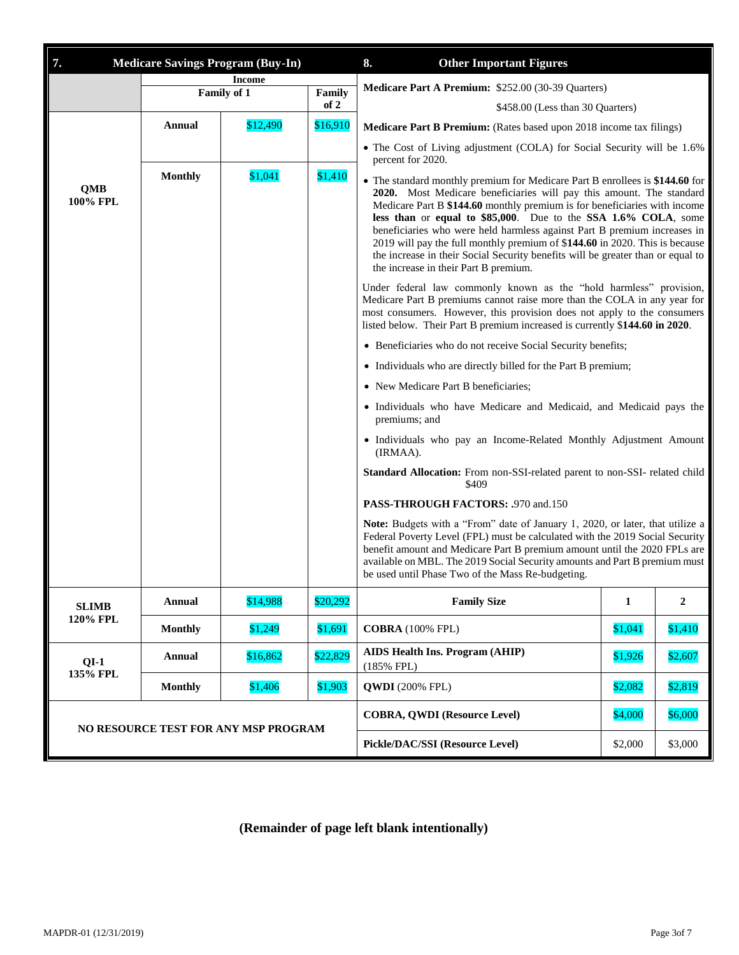| 7.                                   | <b>Medicare Savings Program (Buy-In)</b> |                              |                                     | <b>Other Important Figures</b><br>8.                                                                                                                                                                                                                                                                                                                                                                                                                                                                                                                                                                                                                                                                                                                                                                                                                                                                   |              |              |  |  |  |
|--------------------------------------|------------------------------------------|------------------------------|-------------------------------------|--------------------------------------------------------------------------------------------------------------------------------------------------------------------------------------------------------------------------------------------------------------------------------------------------------------------------------------------------------------------------------------------------------------------------------------------------------------------------------------------------------------------------------------------------------------------------------------------------------------------------------------------------------------------------------------------------------------------------------------------------------------------------------------------------------------------------------------------------------------------------------------------------------|--------------|--------------|--|--|--|
|                                      |                                          | <b>Income</b><br>Family of 1 | Family                              | Medicare Part A Premium: \$252.00 (30-39 Quarters)                                                                                                                                                                                                                                                                                                                                                                                                                                                                                                                                                                                                                                                                                                                                                                                                                                                     |              |              |  |  |  |
|                                      |                                          |                              | of 2                                | \$458.00 (Less than 30 Quarters)                                                                                                                                                                                                                                                                                                                                                                                                                                                                                                                                                                                                                                                                                                                                                                                                                                                                       |              |              |  |  |  |
|                                      | Annual                                   | \$12,490                     | \$16,910                            | Medicare Part B Premium: (Rates based upon 2018 income tax filings)                                                                                                                                                                                                                                                                                                                                                                                                                                                                                                                                                                                                                                                                                                                                                                                                                                    |              |              |  |  |  |
|                                      |                                          |                              |                                     | • The Cost of Living adjustment (COLA) for Social Security will be 1.6%<br>percent for 2020.                                                                                                                                                                                                                                                                                                                                                                                                                                                                                                                                                                                                                                                                                                                                                                                                           |              |              |  |  |  |
| <b>QMB</b><br>100% FPL               | <b>Monthly</b>                           | \$1,041                      | \$1,410                             | • The standard monthly premium for Medicare Part B enrollees is \$144.60 for<br>2020. Most Medicare beneficiaries will pay this amount. The standard<br>Medicare Part B \$144.60 monthly premium is for beneficiaries with income<br>less than or equal to \$85,000. Due to the SSA 1.6% COLA, some<br>beneficiaries who were held harmless against Part B premium increases in<br>2019 will pay the full monthly premium of \$144.60 in 2020. This is because<br>the increase in their Social Security benefits will be greater than or equal to<br>the increase in their Part B premium.<br>Under federal law commonly known as the "hold harmless" provision,<br>Medicare Part B premiums cannot raise more than the COLA in any year for<br>most consumers. However, this provision does not apply to the consumers<br>listed below. Their Part B premium increased is currently \$144.60 in 2020. |              |              |  |  |  |
|                                      |                                          |                              |                                     |                                                                                                                                                                                                                                                                                                                                                                                                                                                                                                                                                                                                                                                                                                                                                                                                                                                                                                        |              |              |  |  |  |
|                                      |                                          |                              |                                     | • Beneficiaries who do not receive Social Security benefits;                                                                                                                                                                                                                                                                                                                                                                                                                                                                                                                                                                                                                                                                                                                                                                                                                                           |              |              |  |  |  |
|                                      |                                          |                              |                                     | • Individuals who are directly billed for the Part B premium;                                                                                                                                                                                                                                                                                                                                                                                                                                                                                                                                                                                                                                                                                                                                                                                                                                          |              |              |  |  |  |
|                                      |                                          |                              |                                     | • New Medicare Part B beneficiaries;                                                                                                                                                                                                                                                                                                                                                                                                                                                                                                                                                                                                                                                                                                                                                                                                                                                                   |              |              |  |  |  |
|                                      |                                          |                              |                                     | • Individuals who have Medicare and Medicaid, and Medicaid pays the<br>premiums; and                                                                                                                                                                                                                                                                                                                                                                                                                                                                                                                                                                                                                                                                                                                                                                                                                   |              |              |  |  |  |
|                                      |                                          |                              |                                     | · Individuals who pay an Income-Related Monthly Adjustment Amount<br>(IRMAA).                                                                                                                                                                                                                                                                                                                                                                                                                                                                                                                                                                                                                                                                                                                                                                                                                          |              |              |  |  |  |
|                                      |                                          |                              |                                     | Standard Allocation: From non-SSI-related parent to non-SSI- related child<br>\$409                                                                                                                                                                                                                                                                                                                                                                                                                                                                                                                                                                                                                                                                                                                                                                                                                    |              |              |  |  |  |
|                                      |                                          |                              |                                     | PASS-THROUGH FACTORS: .970 and.150                                                                                                                                                                                                                                                                                                                                                                                                                                                                                                                                                                                                                                                                                                                                                                                                                                                                     |              |              |  |  |  |
|                                      |                                          |                              |                                     | Note: Budgets with a "From" date of January 1, 2020, or later, that utilize a<br>Federal Poverty Level (FPL) must be calculated with the 2019 Social Security<br>benefit amount and Medicare Part B premium amount until the 2020 FPLs are<br>available on MBL. The 2019 Social Security amounts and Part B premium must<br>be used until Phase Two of the Mass Re-budgeting.                                                                                                                                                                                                                                                                                                                                                                                                                                                                                                                          |              |              |  |  |  |
| <b>SLIMB</b>                         | <b>Annual</b>                            | \$14,988                     | \$20,292                            | <b>Family Size</b>                                                                                                                                                                                                                                                                                                                                                                                                                                                                                                                                                                                                                                                                                                                                                                                                                                                                                     | $\mathbf{1}$ | $\mathbf{2}$ |  |  |  |
| 120% FPL                             | <b>Monthly</b>                           | \$1,249                      | \$1,691                             | <b>COBRA</b> (100% FPL)                                                                                                                                                                                                                                                                                                                                                                                                                                                                                                                                                                                                                                                                                                                                                                                                                                                                                | \$1,041      | \$1,410      |  |  |  |
| $QI-1$<br>135% FPL                   | <b>Annual</b>                            | \$16,862                     | \$22,829                            | <b>AIDS Health Ins. Program (AHIP)</b><br>$(185\%$ FPL)                                                                                                                                                                                                                                                                                                                                                                                                                                                                                                                                                                                                                                                                                                                                                                                                                                                | \$1,926      | \$2,607      |  |  |  |
|                                      | <b>Monthly</b>                           | \$1,406                      | \$1,903                             | <b>QWDI</b> (200% FPL)                                                                                                                                                                                                                                                                                                                                                                                                                                                                                                                                                                                                                                                                                                                                                                                                                                                                                 | \$2,082      | \$2,819      |  |  |  |
| NO RESOURCE TEST FOR ANY MSP PROGRAM |                                          |                              | <b>COBRA, QWDI (Resource Level)</b> | \$4,000                                                                                                                                                                                                                                                                                                                                                                                                                                                                                                                                                                                                                                                                                                                                                                                                                                                                                                | \$6,000      |              |  |  |  |
|                                      |                                          |                              |                                     | Pickle/DAC/SSI (Resource Level)                                                                                                                                                                                                                                                                                                                                                                                                                                                                                                                                                                                                                                                                                                                                                                                                                                                                        | \$2,000      | \$3,000      |  |  |  |

## **(Remainder of page left blank intentionally)**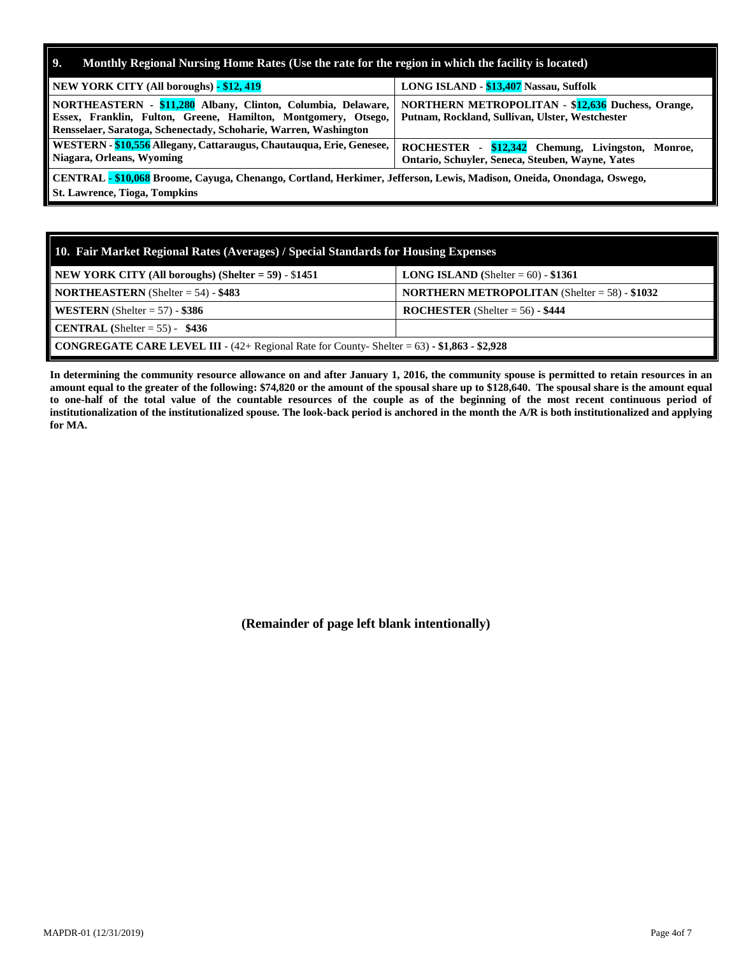| Monthly Regional Nursing Home Rates (Use the rate for the region in which the facility is located)<br>9.                                                                                           |                                                                                                             |
|----------------------------------------------------------------------------------------------------------------------------------------------------------------------------------------------------|-------------------------------------------------------------------------------------------------------------|
| NEW YORK CITY (All boroughs) - \$12, 419                                                                                                                                                           | LONG ISLAND - \$13,407 Nassau, Suffolk                                                                      |
| NORTHEASTERN - \$11,280 Albany, Clinton, Columbia, Delaware,<br>Essex, Franklin, Fulton, Greene, Hamilton, Montgomery, Otsego,<br>Rensselaer, Saratoga, Schenectady, Schoharie, Warren, Washington | <b>NORTHERN METROPOLITAN - \$12,636 Duchess, Orange,</b><br>Putnam, Rockland, Sullivan, Ulster, Westchester |
| WESTERN - \$10,556 Allegany, Cattaraugus, Chautauqua, Erie, Genesee,<br>Niagara, Orleans, Wyoming                                                                                                  | ROCHESTER - \$12,342 Chemung, Livingston,<br>Monroe,<br>Ontario, Schuvler, Seneca, Steuben, Wayne, Yates    |
| CENTRAL - \$10,068 Broome, Cayuga, Chenango, Cortland, Herkimer, Jefferson, Lewis, Madison, Oneida, Onondaga, Oswego,<br><b>St. Lawrence, Tioga, Tompkins</b>                                      |                                                                                                             |

| 10. Fair Market Regional Rates (Averages) / Special Standards for Housing Expenses                        |                                                         |  |  |  |  |  |  |
|-----------------------------------------------------------------------------------------------------------|---------------------------------------------------------|--|--|--|--|--|--|
| NEW YORK CITY (All boroughs) (Shelter = $59$ ) - \$1451                                                   | <b>LONG ISLAND</b> (Shelter = $60$ ) - \$1361           |  |  |  |  |  |  |
| <b>NORTHEASTERN</b> (Shelter = $54$ ) - \$483                                                             | <b>NORTHERN METROPOLITAN</b> (Shelter = $58$ ) - \$1032 |  |  |  |  |  |  |
| <b>WESTERN</b> (Shelter = $57$ ) - \$386                                                                  | <b>ROCHESTER</b> (Shelter = $56$ ) - \$444              |  |  |  |  |  |  |
| <b>CENTRAL</b> (Shelter = 55) - $$436$                                                                    |                                                         |  |  |  |  |  |  |
| <b>CONGREGATE CARE LEVEL III</b> - $(42 +$ Regional Rate for County- Shelter = $63$ ) - \$1,863 - \$2,928 |                                                         |  |  |  |  |  |  |

**In determining the community resource allowance on and after January 1, 2016, the community spouse is permitted to retain resources in an amount equal to the greater of the following: \$74,820 or the amount of the spousal share up to \$128,640. The spousal share is the amount equal to one-half of the total value of the countable resources of the couple as of the beginning of the most recent continuous period of institutionalization of the institutionalized spouse. The look-back period is anchored in the month the A/R is both institutionalized and applying for MA.**

**(Remainder of page left blank intentionally)**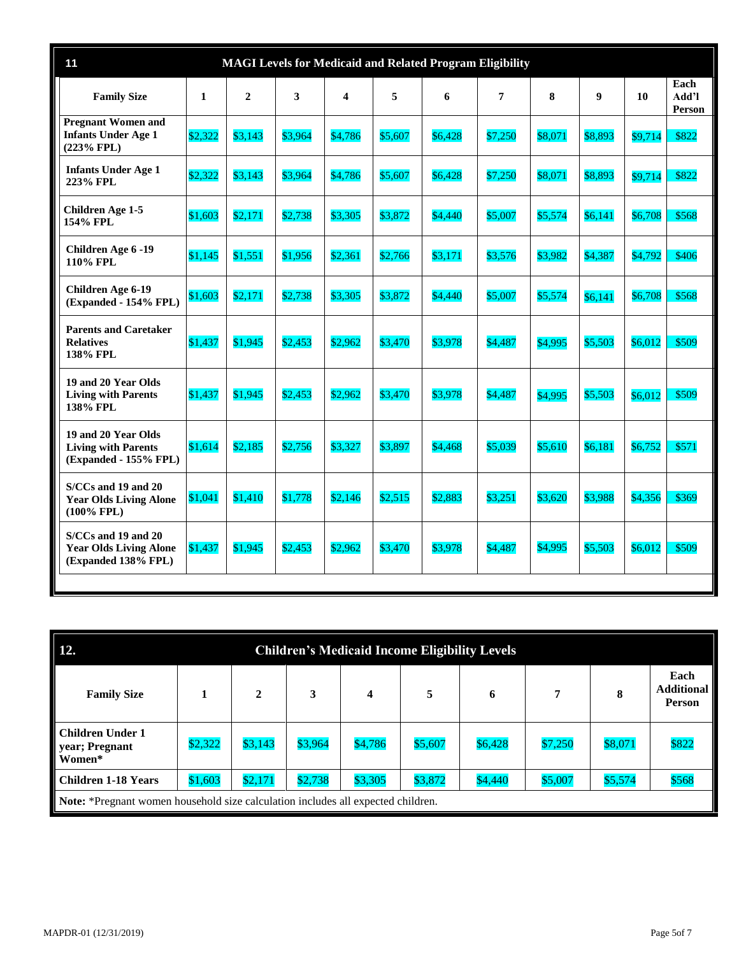| 11<br><b>MAGI Levels for Medicaid and Related Program Eligibility</b>       |         |                |         |         |         |         |         |         |                  |         |                         |
|-----------------------------------------------------------------------------|---------|----------------|---------|---------|---------|---------|---------|---------|------------------|---------|-------------------------|
| <b>Family Size</b>                                                          | 1       | $\overline{2}$ | 3       | 4       | 5       | 6       | 7       | 8       | $\boldsymbol{9}$ | 10      | Each<br>Add'l<br>Person |
| <b>Pregnant Women and</b><br><b>Infants Under Age 1</b><br>(223% FPL)       | \$2,322 | \$3,143        | \$3,964 | \$4,786 | \$5,607 | \$6,428 | \$7,250 | \$8,071 | \$8,893          | \$9,714 | \$822                   |
| <b>Infants Under Age 1</b><br>223% FPL                                      | \$2,322 | \$3,143        | \$3,964 | \$4,786 | \$5,607 | \$6,428 | \$7,250 | \$8,071 | \$8,893          | \$9,714 | \$822                   |
| <b>Children Age 1-5</b><br>154% FPL                                         | \$1,603 | \$2,171        | \$2,738 | \$3,305 | \$3,872 | \$4,440 | \$5,007 | \$5,574 | \$6,141          | \$6,708 | \$568                   |
| Children Age 6 -19<br>110% FPL                                              | \$1,145 | \$1,551        | \$1,956 | \$2,361 | \$2,766 | \$3,171 | \$3,576 | \$3,982 | \$4,387          | \$4,792 | \$406                   |
| Children Age 6-19<br>(Expanded - 154% FPL)                                  | \$1,603 | \$2,171        | \$2,738 | \$3,305 | \$3,872 | \$4,440 | \$5,007 | \$5,574 | \$6,141          | \$6,708 | \$568                   |
| <b>Parents and Caretaker</b><br><b>Relatives</b><br>138% FPL                | \$1,437 | \$1,945        | \$2,453 | \$2,962 | \$3,470 | \$3,978 | \$4,487 | \$4,995 | \$5,503          | \$6,012 | \$509                   |
| 19 and 20 Year Olds<br><b>Living with Parents</b><br>138% FPL               | \$1,437 | \$1,945        | \$2,453 | \$2,962 | \$3,470 | \$3,978 | \$4,487 | \$4,995 | \$5,503          | \$6.012 | \$509                   |
| 19 and 20 Year Olds<br><b>Living with Parents</b><br>(Expanded - 155% FPL)  | \$1,614 | \$2,185        | \$2,756 | \$3,327 | \$3,897 | \$4.468 | \$5,039 | \$5,610 | \$6,181          | \$6,752 | \$571                   |
| S/CCs and 19 and 20<br><b>Year Olds Living Alone</b><br>$(100\%$ FPL)       | \$1,041 | \$1.410        | \$1,778 | \$2,146 | \$2,515 | \$2,883 | \$3.251 | \$3.620 | \$3,988          | \$4.356 | \$369                   |
| S/CCs and 19 and 20<br><b>Year Olds Living Alone</b><br>(Expanded 138% FPL) | \$1,437 | \$1.945        | \$2,453 | \$2,962 | \$3,470 | \$3.978 | \$4,487 | \$4.995 | \$5,503          | \$6.012 | \$509                   |
|                                                                             |         |                |         |         |         |         |         |         |                  |         |                         |

| 12.<br><b>Children's Medicaid Income Eligibility Levels</b>                             |                                                                                                           |         |         |         |         |         |         |         |       |  |  |
|-----------------------------------------------------------------------------------------|-----------------------------------------------------------------------------------------------------------|---------|---------|---------|---------|---------|---------|---------|-------|--|--|
| <b>Family Size</b>                                                                      | Each<br><b>Additional</b><br>5<br>$\overline{2}$<br>7<br>3<br>$\overline{\mathbf{4}}$<br>6<br>8<br>Person |         |         |         |         |         |         |         |       |  |  |
| Children Under 1<br>year; Pregnant<br>Women*                                            | \$2,322                                                                                                   | \$3,143 | \$3,964 | \$4,786 | \$5,607 | \$6,428 | \$7,250 | \$8,071 | \$822 |  |  |
| <b>Children 1-18 Years</b>                                                              | \$1,603                                                                                                   | \$2,171 | \$2,738 | \$3,305 | \$3,872 | \$4,440 | \$5,007 | \$5,574 | \$568 |  |  |
| <b>Note:</b> *Pregnant women household size calculation includes all expected children. |                                                                                                           |         |         |         |         |         |         |         |       |  |  |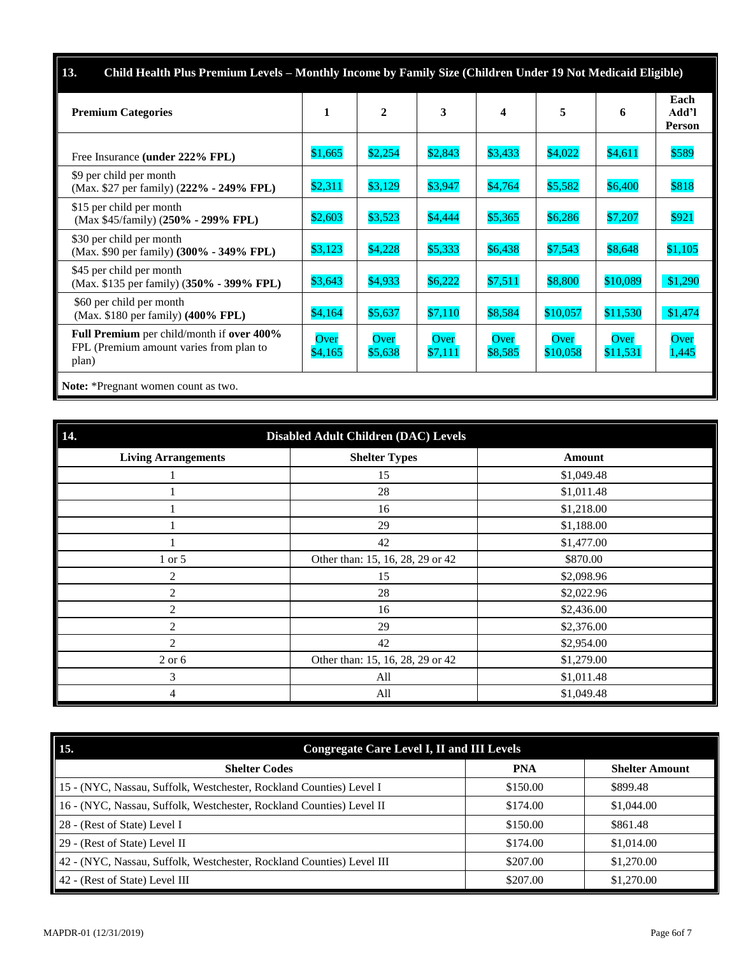| 13.<br>Child Health Plus Premium Levels – Monthly Income by Family Size (Children Under 19 Not Medicaid Eligible) |                 |                 |                 |                 |                  |                  |                                |  |  |  |
|-------------------------------------------------------------------------------------------------------------------|-----------------|-----------------|-----------------|-----------------|------------------|------------------|--------------------------------|--|--|--|
| <b>Premium Categories</b>                                                                                         | 1               | $\mathbf{2}$    | 3               | 4               | 5                | 6                | Each<br>Add'l<br><b>Person</b> |  |  |  |
| Free Insurance (under 222% FPL)                                                                                   | \$1,665         | \$2,254         | \$2,843         | \$3,433         | \$4,022          | \$4,611          | \$589                          |  |  |  |
| \$9 per child per month<br>(Max. \$27 per family) (222% - 249% FPL)                                               | \$2,311         | \$3,129         | \$3,947         | \$4,764         | \$5,582          | \$6,400          | \$818                          |  |  |  |
| \$15 per child per month<br>(Max \$45/family) (250% - 299% FPL)                                                   | \$2,603         | \$3,523         | \$4,444         | \$5,365         | \$6,286          | \$7,207          | \$921                          |  |  |  |
| \$30 per child per month<br>(Max. \$90 per family) (300% - 349% FPL)                                              | \$3,123         | \$4,228         | \$5,333         | \$6,438         | \$7,543          | \$8,648          | \$1,105                        |  |  |  |
| \$45 per child per month<br>(Max. \$135 per family) (350% - 399% FPL)                                             | \$3,643         | \$4,933         | \$6,222         | \$7,511         | \$8,800          | \$10,089         | \$1,290                        |  |  |  |
| \$60 per child per month<br>(Max. \$180 per family) (400% FPL)                                                    | \$4,164         | \$5,637         | \$7,110         | \$8,584         | \$10,057         | \$11,530         | \$1,474                        |  |  |  |
| <b>Full Premium</b> per child/month if <b>over 400%</b><br>FPL (Premium amount varies from plan to<br>plan)       | Over<br>\$4,165 | Over<br>\$5,638 | Over<br>\$7,111 | Over<br>\$8,585 | Over<br>\$10,058 | Over<br>\$11,531 | Over<br>1,445                  |  |  |  |
| Note: *Pregnant women count as two.                                                                               |                 |                 |                 |                 |                  |                  |                                |  |  |  |

| 14.<br><b>Disabled Adult Children (DAC) Levels</b> |                                  |            |  |  |  |
|----------------------------------------------------|----------------------------------|------------|--|--|--|
| <b>Living Arrangements</b>                         | <b>Shelter Types</b>             | Amount     |  |  |  |
|                                                    | 15                               | \$1,049.48 |  |  |  |
|                                                    | 28                               | \$1,011.48 |  |  |  |
|                                                    | 16                               | \$1,218.00 |  |  |  |
|                                                    | 29                               | \$1,188.00 |  |  |  |
|                                                    | 42                               | \$1,477.00 |  |  |  |
| 1 or 5                                             | Other than: 15, 16, 28, 29 or 42 | \$870.00   |  |  |  |
| 2                                                  | 15                               | \$2,098.96 |  |  |  |
| $\overline{2}$                                     | 28                               | \$2,022.96 |  |  |  |
| 2                                                  | 16                               | \$2,436.00 |  |  |  |
| 2                                                  | 29                               | \$2,376.00 |  |  |  |
| $\overline{2}$                                     | 42                               | \$2,954.00 |  |  |  |
| $2$ or $6$                                         | Other than: 15, 16, 28, 29 or 42 | \$1,279.00 |  |  |  |
| 3                                                  | All                              | \$1,011.48 |  |  |  |
| 4                                                  | All                              | \$1,049.48 |  |  |  |

| <b>Congregate Care Level I, II and III Levels</b><br>15.              |            |                       |
|-----------------------------------------------------------------------|------------|-----------------------|
| <b>Shelter Codes</b>                                                  | <b>PNA</b> | <b>Shelter Amount</b> |
| 15 - (NYC, Nassau, Suffolk, Westchester, Rockland Counties) Level I   | \$150.00   | \$899.48              |
| 16 - (NYC, Nassau, Suffolk, Westchester, Rockland Counties) Level II  | \$174.00   | \$1,044.00            |
| 28 - (Rest of State) Level I                                          | \$150.00   | \$861.48              |
| 29 - (Rest of State) Level II                                         | \$174.00   | \$1,014.00            |
| 42 - (NYC, Nassau, Suffolk, Westchester, Rockland Counties) Level III | \$207.00   | \$1,270.00            |
| 42 - (Rest of State) Level III                                        | \$207.00   | \$1,270.00            |